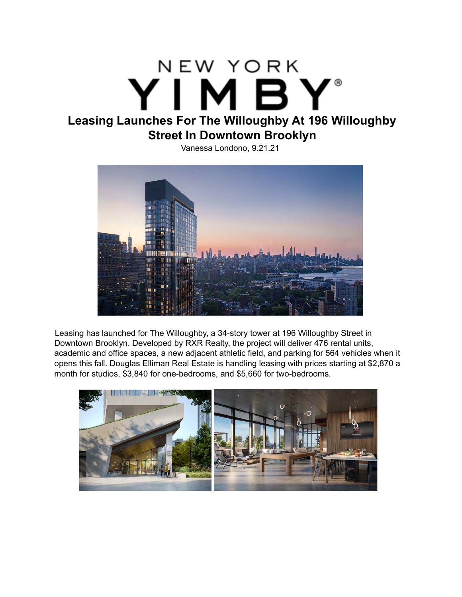## NEW YORK YÏMBY® **Leasing Launches For The Willoughby At 196 Willoughby Street In Downtown Brooklyn**

Vanessa Londono, 9.21.21



Leasing has launched for The Willoughby, a 34-story tower at 196 Willoughby Street in Downtown Brooklyn. Developed by RXR Realty, the project will deliver 476 rental units, academic and office spaces, a new adjacent athletic field, and parking for 564 vehicles when it opens this fall. Douglas Elliman Real Estate is handling leasing with prices starting at \$2,870 a month for studios, \$3,840 for one-bedrooms, and \$5,660 for two-bedrooms.

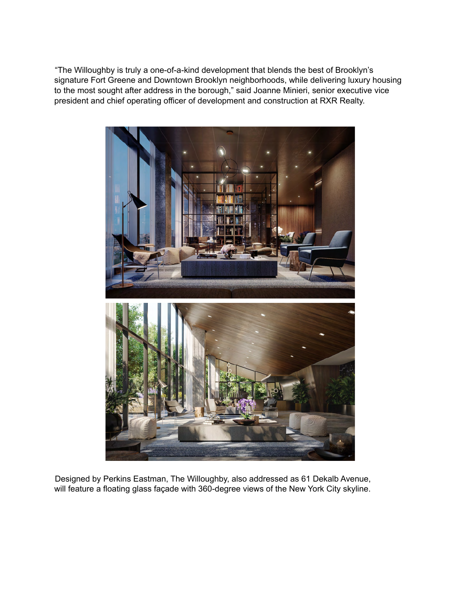"The Willoughby is truly a one-of-a-kind development that blends the best of Brooklyn's signature Fort Greene and Downtown Brooklyn neighborhoods, while delivering luxury housing to the most sought after address in the borough," said Joanne Minieri, senior executive vice president and chief operating officer of development and construction at RXR Realty.



Designed by Perkins Eastman, The Willoughby, also addressed as 61 Dekalb Avenue, will feature a floating glass façade with 360-degree views of the New York City skyline.